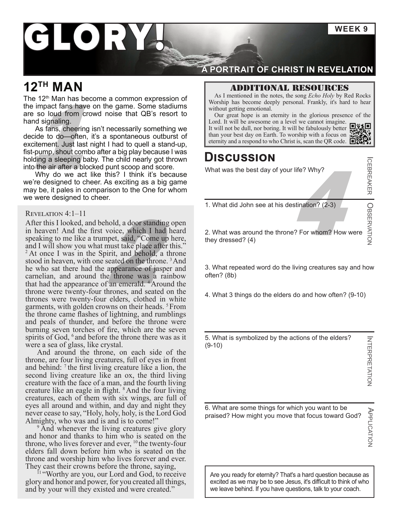# LORY

### **12TH MAN**

The  $12<sup>th</sup>$  Man has become a common expression of the impact fans have on the game. Some stadiums are so loud from crowd noise that QB's resort to hand signaling.

than your best day on Earth. To worship with a focus on the person on all that QB's resort to and signaling.<br>
As fans, cheering isn't necessarily something we<br>
secide to do—often, it's a spontaneous outburst of<br>
than your As fans, cheering isn't necessarily something we decide to do—often, it's a spontaneous outburst of excitement. Just last night I had to quell a stand-up, fist-pump, shout combo after a big play because I was holding a sleeping baby. The child nearly got thrown into the air after a blocked punt scoop and score.

Why do we act like this? I think it's because we're designed to cheer. As exciting as a big game may be, it pales in comparison to the One for whom we were designed to cheer.

#### Revelation 4:1–11

What did John see at his destination? (2-3)<br>
As exciting as a big game<br>
F.<br>
T.<br>
T.<br>
T.<br>
What did John see at his destination? (2-3)<br>
hold, a door standing open<br>
voice, which I had heard<br>
pret, said, "Come up here,<br>
they dr After this I looked, and behold, a door standing open in heaven! And the first voice, which I had heard speaking to me like a trumpet, said, "Come up here, and I will show you what must take place after this." <sup>2</sup> At once I was in the Spirit, and behold, a throne stood in heaven, with one seated on the throne.<sup>3</sup> And he who sat there had the appearance of jasper and carnelian, and around the throne was a rainbow that had the appearance of an emerald. <sup>4</sup>Around the throne were twenty-four thrones, and seated on the thrones were twenty-four elders, clothed in white garments, with golden crowns on their heads. 5From the throne came flashes of lightning, and rumblings and peals of thunder, and before the throne were burning seven torches of fire, which are the seven spirits of God,  $6$  and before the throne there was as it were a sea of glass, like crystal.

And around the throne, on each side of the throne, are four living creatures, full of eyes in front and behind:  $\frac{7}{1}$  the first living creature like a lion, the second living creature like an ox, the third living creature with the face of a man, and the fourth living creature like an eagle in flight. <sup>8</sup> And the four living creatures, each of them with six wings, are full of eyes all around and within, and day and night they never cease to say, "Holy, holy, holy, is the Lord God Almighty, who was and is and is to come!"

<sup>9</sup> And whenever the living creatures give glory and honor and thanks to him who is seated on the throne, who lives forever and ever,  $^{10}$  the twenty-four elders fall down before him who is seated on the throne and worship him who lives forever and ever. They cast their crowns before the throne, saying,

<sup>11</sup> "Worthy are you, our Lord and God, to receive glory and honor and power, for you created all things, and by your will they existed and were created."

### **A PORTRAIT OF CHRIST IN REVELATION**

#### Additional resources

As I mentioned in the notes, the song *Echo Holy* by Red Rocks Worship has become deeply personal. Frankly, it's hard to hear without getting emotional.

Our great hope is an eternity in the glorious presence of the Lord. It will be awesome on a level we cannot imagine. 回激回

It will not be dull, no[r](https://youtu.be/pz5t7XTCxNE) boring. It will be fabulously better  $\frac{1}{2}$  than your best day on Earth. To worship with a focus on

### **Discussion**

What was the best day of your life? Why?

1. What did John see at his destination? (2-3)

ODSORANTON CORSERVATION OBSERVATION 2. What was around the throne? For whom? How were they dressed? (4)

3. What repeated word do the living creatures say and how often? (8b)

4. What 3 things do the elders do and how often? (9-10)

5. What is symbolized by the actions of the elders? (9-10)

ICEBREAKER

6. What are some things for which you want to be praised? How might you move that focus toward God?

APPLICATION APPLICATION

Are you ready for eternity? That's a hard question because as excited as we may be to see Jesus, it's difficult to think of who we leave behind. If you have questions, talk to your coach.